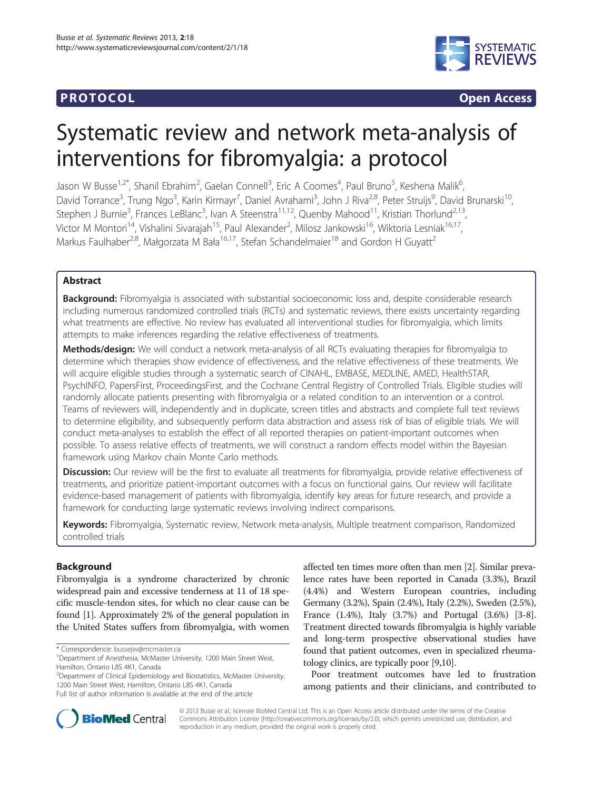## **PROTOCOL CONSUMING ACCESS CONSUMING ACCESS**



# Systematic review and network meta-analysis of interventions for fibromyalgia: a protocol

Jason W Busse<sup>1,2\*</sup>, Shanil Ebrahim<sup>2</sup>, Gaelan Connell<sup>3</sup>, Eric A Coomes<sup>4</sup>, Paul Bruno<sup>5</sup>, Keshena Malik<sup>6</sup> , David Torrance<sup>3</sup>, Trung Ngo<sup>3</sup>, Karin Kirmayr<sup>7</sup>, Daniel Avrahami<sup>3</sup>, John J Riva<sup>2,8</sup>, Peter Struijs<sup>9</sup>, David Brunarski<sup>10</sup>, Stephen J Burnie<sup>3</sup>, Frances LeBlanc<sup>3</sup>, Ivan A Steenstra<sup>11,12</sup>, Quenby Mahood<sup>11</sup>, Kristian Thorlund<sup>2,13</sup>, Victor M Montori<sup>14</sup>, Vishalini Sivarajah<sup>15</sup>, Paul Alexander<sup>2</sup>, Milosz Jankowski<sup>16</sup>, Wiktoria Lesniak<sup>16,17</sup>, Markus Faulhaber<sup>2,8</sup>, Małgorzata M Bała<sup>16,17</sup>, Stefan Schandelmaier<sup>18</sup> and Gordon H Guyatt<sup>2</sup>

## Abstract

**Background:** Fibromyalgia is associated with substantial socioeconomic loss and, despite considerable research including numerous randomized controlled trials (RCTs) and systematic reviews, there exists uncertainty regarding what treatments are effective. No review has evaluated all interventional studies for fibromyalgia, which limits attempts to make inferences regarding the relative effectiveness of treatments.

Methods/design: We will conduct a network meta-analysis of all RCTs evaluating therapies for fibromyalgia to determine which therapies show evidence of effectiveness, and the relative effectiveness of these treatments. We will acquire eligible studies through a systematic search of CINAHL, EMBASE, MEDLINE, AMED, HealthSTAR, PsychINFO, PapersFirst, ProceedingsFirst, and the Cochrane Central Registry of Controlled Trials. Eligible studies will randomly allocate patients presenting with fibromyalgia or a related condition to an intervention or a control. Teams of reviewers will, independently and in duplicate, screen titles and abstracts and complete full text reviews to determine eligibility, and subsequently perform data abstraction and assess risk of bias of eligible trials. We will conduct meta-analyses to establish the effect of all reported therapies on patient-important outcomes when possible. To assess relative effects of treatments, we will construct a random effects model within the Bayesian framework using Markov chain Monte Carlo methods.

Discussion: Our review will be the first to evaluate all treatments for fibromyalgia, provide relative effectiveness of treatments, and prioritize patient-important outcomes with a focus on functional gains. Our review will facilitate evidence-based management of patients with fibromyalgia, identify key areas for future research, and provide a framework for conducting large systematic reviews involving indirect comparisons.

Keywords: Fibromyalgia, Systematic review, Network meta-analysis, Multiple treatment comparison, Randomized controlled trials

## Background

Fibromyalgia is a syndrome characterized by chronic widespread pain and excessive tenderness at 11 of 18 specific muscle-tendon sites, for which no clear cause can be found [[1](#page-6-0)]. Approximately 2% of the general population in the United States suffers from fibromyalgia, with women

<sup>2</sup>Department of Clinical Epidemiology and Biostatistics, McMaster University, 1200 Main Street West, Hamilton, Ontario L8S 4K1, Canada Full list of author information is available at the end of the article

Poor treatment outcomes have led to frustration among patients and their clinicians, and contributed to



© 2013 Busse et al.; licensee BioMed Central Ltd. This is an Open Access article distributed under the terms of the Creative Commons Attribution License [\(http://creativecommons.org/licenses/by/2.0\)](http://creativecommons.org/licenses/by/2.0), which permits unrestricted use, distribution, and reproduction in any medium, provided the original work is properly cited.

<sup>\*</sup> Correspondence: [bussejw@mcmaster.ca](mailto:bussejw@mcmaster.ca) <sup>1</sup>

<sup>&</sup>lt;sup>1</sup>Department of Anesthesia, McMaster University, 1200 Main Street West, Hamilton, Ontario L8S 4K1, Canada

affected ten times more often than men [\[2](#page-6-0)]. Similar prevalence rates have been reported in Canada (3.3%), Brazil (4.4%) and Western European countries, including Germany (3.2%), Spain (2.4%), Italy (2.2%), Sweden (2.5%), France (1.4%), Italy (3.7%) and Portugal (3.6%) [\[3](#page-6-0)-[8](#page-6-0)]. Treatment directed towards fibromyalgia is highly variable and long-term prospective observational studies have found that patient outcomes, even in specialized rheumatology clinics, are typically poor [[9](#page-6-0),[10](#page-6-0)].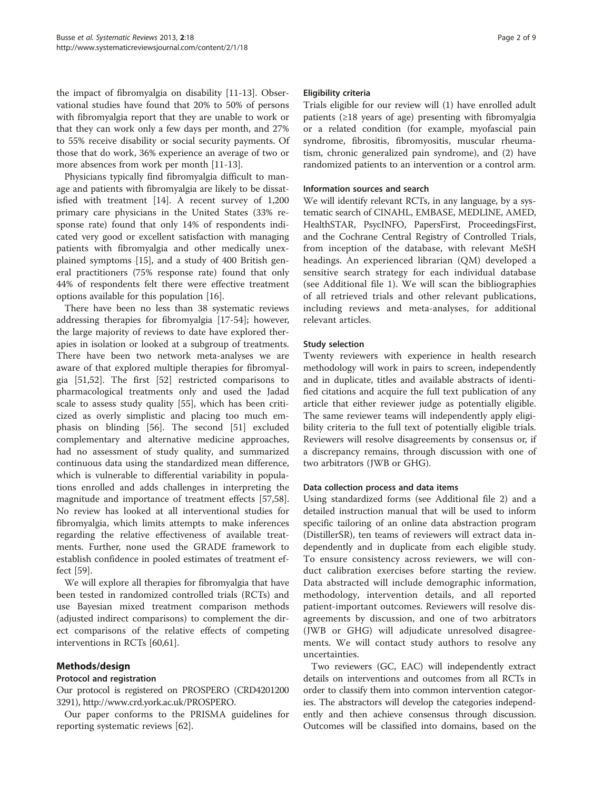the impact of fibromyalgia on disability [\[11-13](#page-6-0)]. Observational studies have found that 20% to 50% of persons with fibromyalgia report that they are unable to work or that they can work only a few days per month, and 27% to 55% receive disability or social security payments. Of those that do work, 36% experience an average of two or more absences from work per month [\[11](#page-6-0)-[13\]](#page-6-0).

Physicians typically find fibromyalgia difficult to manage and patients with fibromyalgia are likely to be dissatisfied with treatment [[14\]](#page-6-0). A recent survey of 1,200 primary care physicians in the United States (33% response rate) found that only 14% of respondents indicated very good or excellent satisfaction with managing patients with fibromyalgia and other medically unexplained symptoms [\[15\]](#page-7-0), and a study of 400 British general practitioners (75% response rate) found that only 44% of respondents felt there were effective treatment options available for this population [\[16](#page-7-0)].

There have been no less than 38 systematic reviews addressing therapies for fibromyalgia [\[17](#page-7-0)-[54\]](#page-7-0); however, the large majority of reviews to date have explored therapies in isolation or looked at a subgroup of treatments. There have been two network meta-analyses we are aware of that explored multiple therapies for fibromyalgia [[51,52\]](#page-7-0). The first [[52\]](#page-7-0) restricted comparisons to pharmacological treatments only and used the Jadad scale to assess study quality [[55\]](#page-7-0), which has been criticized as overly simplistic and placing too much emphasis on blinding [\[56](#page-7-0)]. The second [\[51](#page-7-0)] excluded complementary and alternative medicine approaches, had no assessment of study quality, and summarized continuous data using the standardized mean difference, which is vulnerable to differential variability in populations enrolled and adds challenges in interpreting the magnitude and importance of treatment effects [\[57,58](#page-7-0)]. No review has looked at all interventional studies for fibromyalgia, which limits attempts to make inferences regarding the relative effectiveness of available treatments. Further, none used the GRADE framework to establish confidence in pooled estimates of treatment effect [[59\]](#page-7-0).

We will explore all therapies for fibromyalgia that have been tested in randomized controlled trials (RCTs) and use Bayesian mixed treatment comparison methods (adjusted indirect comparisons) to complement the direct comparisons of the relative effects of competing interventions in RCTs [[60,61\]](#page-7-0).

## Methods/design

## Protocol and registration

Our protocol is registered on PROSPERO (CRD4201200 3291), [http://www.crd.york.ac.uk/PROSPERO.](http://www.crd.york.ac.uk/PROSPERO)

Our paper conforms to the PRISMA guidelines for reporting systematic reviews [\[62\]](#page-8-0).

#### Eligibility criteria

Trials eligible for our review will (1) have enrolled adult patients (≥18 years of age) presenting with fibromyalgia or a related condition (for example, myofascial pain syndrome, fibrositis, fibromyositis, muscular rheumatism, chronic generalized pain syndrome), and (2) have randomized patients to an intervention or a control arm.

## Information sources and search

We will identify relevant RCTs, in any language, by a systematic search of CINAHL, EMBASE, MEDLINE, AMED, HealthSTAR, PsycINFO, PapersFirst, ProceedingsFirst, and the Cochrane Central Registry of Controlled Trials, from inception of the database, with relevant MeSH headings. An experienced librarian (QM) developed a sensitive search strategy for each individual database (see Additional file [1](#page-6-0)). We will scan the bibliographies of all retrieved trials and other relevant publications, including reviews and meta-analyses, for additional relevant articles.

#### Study selection

Twenty reviewers with experience in health research methodology will work in pairs to screen, independently and in duplicate, titles and available abstracts of identified citations and acquire the full text publication of any article that either reviewer judge as potentially eligible. The same reviewer teams will independently apply eligibility criteria to the full text of potentially eligible trials. Reviewers will resolve disagreements by consensus or, if a discrepancy remains, through discussion with one of two arbitrators (JWB or GHG).

## Data collection process and data items

Using standardized forms (see Additional file [2\)](#page-6-0) and a detailed instruction manual that will be used to inform specific tailoring of an online data abstraction program (DistillerSR), ten teams of reviewers will extract data independently and in duplicate from each eligible study. To ensure consistency across reviewers, we will conduct calibration exercises before starting the review. Data abstracted will include demographic information, methodology, intervention details, and all reported patient-important outcomes. Reviewers will resolve disagreements by discussion, and one of two arbitrators (JWB or GHG) will adjudicate unresolved disagreements. We will contact study authors to resolve any uncertainties.

Two reviewers (GC, EAC) will independently extract details on interventions and outcomes from all RCTs in order to classify them into common intervention categories. The abstractors will develop the categories independently and then achieve consensus through discussion. Outcomes will be classified into domains, based on the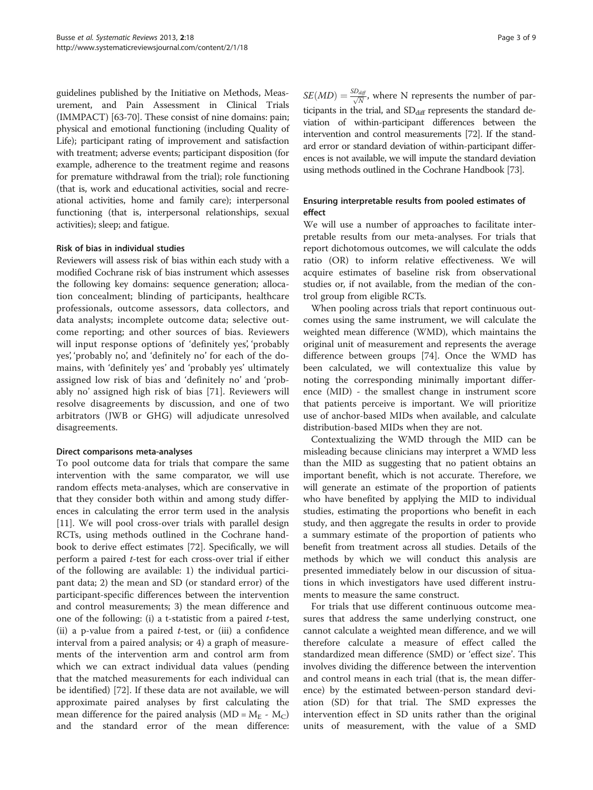guidelines published by the Initiative on Methods, Measurement, and Pain Assessment in Clinical Trials (IMMPACT) [[63](#page-8-0)-[70](#page-8-0)]. These consist of nine domains: pain; physical and emotional functioning (including Quality of Life); participant rating of improvement and satisfaction with treatment; adverse events; participant disposition (for example, adherence to the treatment regime and reasons for premature withdrawal from the trial); role functioning (that is, work and educational activities, social and recreational activities, home and family care); interpersonal functioning (that is, interpersonal relationships, sexual activities); sleep; and fatigue.

## Risk of bias in individual studies

Reviewers will assess risk of bias within each study with a modified Cochrane risk of bias instrument which assesses the following key domains: sequence generation; allocation concealment; blinding of participants, healthcare professionals, outcome assessors, data collectors, and data analysts; incomplete outcome data; selective outcome reporting; and other sources of bias. Reviewers will input response options of 'definitely yes', 'probably yes', 'probably no', and 'definitely no' for each of the domains, with 'definitely yes' and 'probably yes' ultimately assigned low risk of bias and 'definitely no' and 'probably no' assigned high risk of bias [[71\]](#page-8-0). Reviewers will resolve disagreements by discussion, and one of two arbitrators (JWB or GHG) will adjudicate unresolved disagreements.

#### Direct comparisons meta-analyses

To pool outcome data for trials that compare the same intervention with the same comparator, we will use random effects meta-analyses, which are conservative in that they consider both within and among study differences in calculating the error term used in the analysis [[11\]](#page-6-0). We will pool cross-over trials with parallel design RCTs, using methods outlined in the Cochrane handbook to derive effect estimates [\[72](#page-8-0)]. Specifically, we will perform a paired t-test for each cross-over trial if either of the following are available: 1) the individual participant data; 2) the mean and SD (or standard error) of the participant-specific differences between the intervention and control measurements; 3) the mean difference and one of the following: (i) a t-statistic from a paired  $t$ -test, (ii) a p-value from a paired  $t$ -test, or (iii) a confidence interval from a paired analysis; or 4) a graph of measurements of the intervention arm and control arm from which we can extract individual data values (pending that the matched measurements for each individual can be identified) [\[72\]](#page-8-0). If these data are not available, we will approximate paired analyses by first calculating the mean difference for the paired analysis (MD =  $M_E$  -  $M_C$ ) and the standard error of the mean difference:

 $SE(MD) = \frac{SD_{diff}}{\sqrt{N}}$ , where N represents the number of participants in the trial, and  $SD<sub>diff</sub>$  represents the standard deviation of within-participant differences between the intervention and control measurements [\[72\]](#page-8-0). If the standard error or standard deviation of within-participant differences is not available, we will impute the standard deviation using methods outlined in the Cochrane Handbook [\[73\]](#page-8-0).

## Ensuring interpretable results from pooled estimates of effect

We will use a number of approaches to facilitate interpretable results from our meta-analyses. For trials that report dichotomous outcomes, we will calculate the odds ratio (OR) to inform relative effectiveness. We will acquire estimates of baseline risk from observational studies or, if not available, from the median of the control group from eligible RCTs.

When pooling across trials that report continuous outcomes using the same instrument, we will calculate the weighted mean difference (WMD), which maintains the original unit of measurement and represents the average difference between groups [\[74](#page-8-0)]. Once the WMD has been calculated, we will contextualize this value by noting the corresponding minimally important difference (MID) - the smallest change in instrument score that patients perceive is important. We will prioritize use of anchor-based MIDs when available, and calculate distribution-based MIDs when they are not.

Contextualizing the WMD through the MID can be misleading because clinicians may interpret a WMD less than the MID as suggesting that no patient obtains an important benefit, which is not accurate. Therefore, we will generate an estimate of the proportion of patients who have benefited by applying the MID to individual studies, estimating the proportions who benefit in each study, and then aggregate the results in order to provide a summary estimate of the proportion of patients who benefit from treatment across all studies. Details of the methods by which we will conduct this analysis are presented immediately below in our discussion of situations in which investigators have used different instruments to measure the same construct.

For trials that use different continuous outcome measures that address the same underlying construct, one cannot calculate a weighted mean difference, and we will therefore calculate a measure of effect called the standardized mean difference (SMD) or 'effect size'. This involves dividing the difference between the intervention and control means in each trial (that is, the mean difference) by the estimated between-person standard deviation (SD) for that trial. The SMD expresses the intervention effect in SD units rather than the original units of measurement, with the value of a SMD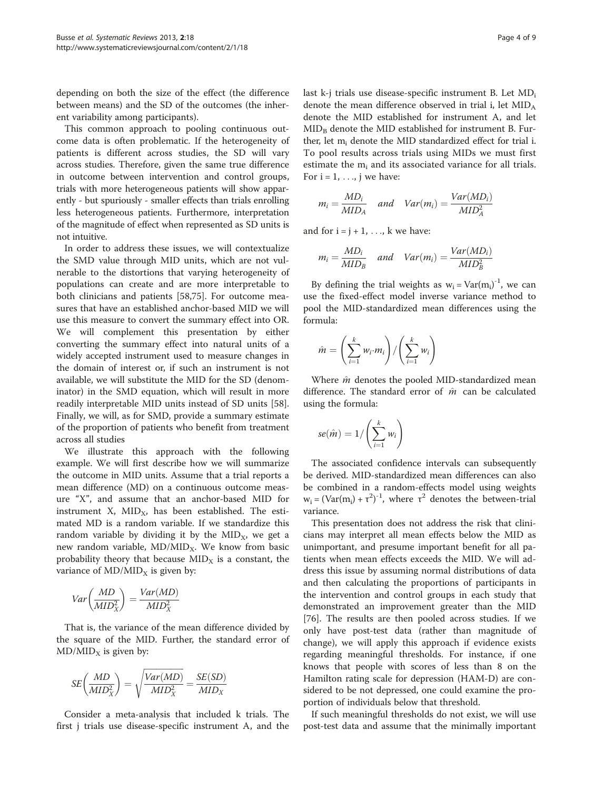depending on both the size of the effect (the difference between means) and the SD of the outcomes (the inherent variability among participants).

This common approach to pooling continuous outcome data is often problematic. If the heterogeneity of patients is different across studies, the SD will vary across studies. Therefore, given the same true difference in outcome between intervention and control groups, trials with more heterogeneous patients will show apparently - but spuriously - smaller effects than trials enrolling less heterogeneous patients. Furthermore, interpretation of the magnitude of effect when represented as SD units is not intuitive.

In order to address these issues, we will contextualize the SMD value through MID units, which are not vulnerable to the distortions that varying heterogeneity of populations can create and are more interpretable to both clinicians and patients [[58](#page-7-0),[75](#page-8-0)]. For outcome measures that have an established anchor-based MID we will use this measure to convert the summary effect into OR. We will complement this presentation by either converting the summary effect into natural units of a widely accepted instrument used to measure changes in the domain of interest or, if such an instrument is not available, we will substitute the MID for the SD (denominator) in the SMD equation, which will result in more readily interpretable MID units instead of SD units [\[58](#page-7-0)]. Finally, we will, as for SMD, provide a summary estimate of the proportion of patients who benefit from treatment across all studies

We illustrate this approach with the following example. We will first describe how we will summarize the outcome in MID units. Assume that a trial reports a mean difference (MD) on a continuous outcome measure "X", and assume that an anchor-based MID for instrument X,  $MID_X$ , has been established. The estimated MD is a random variable. If we standardize this random variable by dividing it by the  $MID<sub>X</sub>$ , we get a new random variable,  $MD/MID_X$ . We know from basic probability theory that because  $MID<sub>X</sub>$  is a constant, the variance of  $MD/MID<sub>X</sub>$  is given by:

$$
Var\left(\frac{MD}{MID_X^2}\right) = \frac{Var(MD)}{MID_X^2}
$$

That is, the variance of the mean difference divided by the square of the MID. Further, the standard error of  $MD/MID<sub>X</sub>$  is given by:

$$
SE\left(\frac{MD}{MID_X^2}\right) = \sqrt{\frac{Var(MD)}{MID_X^2}} = \frac{SE(SD)}{MID_X}
$$

Consider a meta-analysis that included k trials. The first j trials use disease-specific instrument A, and the last k-j trials use disease-specific instrument B. Let MD<sub>i</sub> denote the mean difference observed in trial i, let MIDA denote the MID established for instrument A, and let  $MID<sub>B</sub>$  denote the MID established for instrument B. Further, let  $m_i$  denote the MID standardized effect for trial i. To pool results across trials using MIDs we must first estimate the  $m_i$  and its associated variance for all trials. For  $i = 1, \ldots, j$  we have:

$$
m_i = \frac{MD_i}{MID_A}
$$
 and  $Var(m_i) = \frac{Var(MD_i)}{MID_A^2}$ 

and for  $i = j + 1, \ldots, k$  we have:

$$
m_i = \frac{MD_i}{MID_B}
$$
 and  $Var(m_i) = \frac{Var(MD_i)}{MID_B^2}$ 

By defining the trial weights as  $w_i = Var(m_i)^{-1}$ , we can use the fixed-effect model inverse variance method to pool the MID-standardized mean differences using the formula:

$$
\hat{m} = \left(\sum_{i=1}^k w_i \cdot m_i\right) / \left(\sum_{i=1}^k w_i\right)
$$

Where  $\hat{m}$  denotes the pooled MID-standardized mean difference. The standard error of  $\hat{m}$  can be calculated using the formula:

$$
se(\hat{m}) = 1/\left(\sum_{i=1}^{k} w_i\right)
$$

The associated confidence intervals can subsequently be derived. MID-standardized mean differences can also be combined in a random-effects model using weights  $w_i = (Var(m_i) + \tau^2)^{-1}$ , where  $\tau^2$  denotes the between-trial variance.

This presentation does not address the risk that clinicians may interpret all mean effects below the MID as unimportant, and presume important benefit for all patients when mean effects exceeds the MID. We will address this issue by assuming normal distributions of data and then calculating the proportions of participants in the intervention and control groups in each study that demonstrated an improvement greater than the MID [[76\]](#page-8-0). The results are then pooled across studies. If we only have post-test data (rather than magnitude of change), we will apply this approach if evidence exists regarding meaningful thresholds. For instance, if one knows that people with scores of less than 8 on the Hamilton rating scale for depression (HAM-D) are considered to be not depressed, one could examine the proportion of individuals below that threshold.

If such meaningful thresholds do not exist, we will use post-test data and assume that the minimally important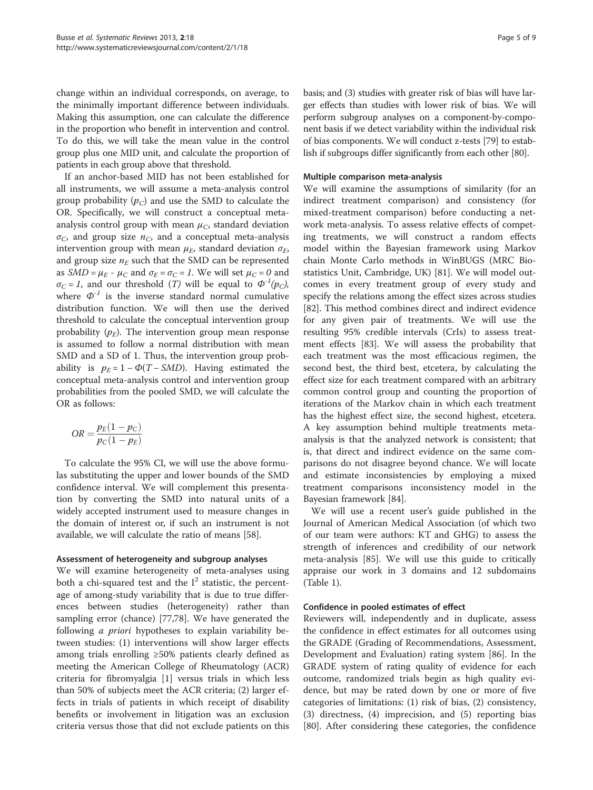change within an individual corresponds, on average, to the minimally important difference between individuals. Making this assumption, one can calculate the difference in the proportion who benefit in intervention and control. To do this, we will take the mean value in the control group plus one MID unit, and calculate the proportion of patients in each group above that threshold.

If an anchor-based MID has not been established for all instruments, we will assume a meta-analysis control group probability  $(p_C)$  and use the SMD to calculate the OR. Specifically, we will construct a conceptual metaanalysis control group with mean  $\mu_C$ , standard deviation  $\sigma_C$ , and group size  $n_C$ , and a conceptual meta-analysis intervention group with mean  $\mu_E$ , standard deviation  $\sigma_E$ , and group size  $n_E$  such that the SMD can be represented as  $SMD = \mu_E - \mu_C$  and  $\sigma_E = \sigma_C = 1$ . We will set  $\mu_C = 0$  and  $\sigma_C = 1$ , and our threshold (T) will be equal to  $\Phi^{-1}(p_C)$ , where  $\Phi^{-1}$  is the inverse standard normal cumulative distribution function. We will then use the derived threshold to calculate the conceptual intervention group probability  $(p_F)$ . The intervention group mean response is assumed to follow a normal distribution with mean SMD and a SD of 1. Thus, the intervention group probability is  $p_E = 1 - \Phi(T - SMD)$ . Having estimated the conceptual meta-analysis control and intervention group probabilities from the pooled SMD, we will calculate the OR as follows:

$$
OR = \frac{p_E(1 - p_C)}{p_C(1 - p_E)}
$$

To calculate the 95% CI, we will use the above formulas substituting the upper and lower bounds of the SMD confidence interval. We will complement this presentation by converting the SMD into natural units of a widely accepted instrument used to measure changes in the domain of interest or, if such an instrument is not available, we will calculate the ratio of means [[58](#page-7-0)].

## Assessment of heterogeneity and subgroup analyses

We will examine heterogeneity of meta-analyses using both a chi-squared test and the  $I^2$  statistic, the percentage of among-study variability that is due to true differences between studies (heterogeneity) rather than sampling error (chance) [[77,78\]](#page-8-0). We have generated the following *a priori* hypotheses to explain variability between studies: (1) interventions will show larger effects among trials enrolling ≥50% patients clearly defined as meeting the American College of Rheumatology (ACR) criteria for fibromyalgia [[1](#page-6-0)] versus trials in which less than 50% of subjects meet the ACR criteria; (2) larger effects in trials of patients in which receipt of disability benefits or involvement in litigation was an exclusion criteria versus those that did not exclude patients on this basis; and (3) studies with greater risk of bias will have larger effects than studies with lower risk of bias. We will perform subgroup analyses on a component-by-component basis if we detect variability within the individual risk of bias components. We will conduct z-tests [\[79](#page-8-0)] to establish if subgroups differ significantly from each other [[80](#page-8-0)].

## Multiple comparison meta-analysis

We will examine the assumptions of similarity (for an indirect treatment comparison) and consistency (for mixed-treatment comparison) before conducting a network meta-analysis. To assess relative effects of competing treatments, we will construct a random effects model within the Bayesian framework using Markov chain Monte Carlo methods in WinBUGS (MRC Biostatistics Unit, Cambridge, UK) [[81](#page-8-0)]. We will model outcomes in every treatment group of every study and specify the relations among the effect sizes across studies [[82\]](#page-8-0). This method combines direct and indirect evidence for any given pair of treatments. We will use the resulting 95% credible intervals (CrIs) to assess treatment effects [[83\]](#page-8-0). We will assess the probability that each treatment was the most efficacious regimen, the second best, the third best, etcetera, by calculating the effect size for each treatment compared with an arbitrary common control group and counting the proportion of iterations of the Markov chain in which each treatment has the highest effect size, the second highest, etcetera. A key assumption behind multiple treatments metaanalysis is that the analyzed network is consistent; that is, that direct and indirect evidence on the same comparisons do not disagree beyond chance. We will locate and estimate inconsistencies by employing a mixed treatment comparisons inconsistency model in the Bayesian framework [\[84\]](#page-8-0).

We will use a recent user's guide published in the Journal of American Medical Association (of which two of our team were authors: KT and GHG) to assess the strength of inferences and credibility of our network meta-analysis [[85\]](#page-8-0). We will use this guide to critically appraise our work in 3 domains and 12 subdomains (Table [1\)](#page-5-0).

## Confidence in pooled estimates of effect

Reviewers will, independently and in duplicate, assess the confidence in effect estimates for all outcomes using the GRADE (Grading of Recommendations, Assessment, Development and Evaluation) rating system [\[86\]](#page-8-0). In the GRADE system of rating quality of evidence for each outcome, randomized trials begin as high quality evidence, but may be rated down by one or more of five categories of limitations: (1) risk of bias, (2) consistency, (3) directness, (4) imprecision, and (5) reporting bias [[80\]](#page-8-0). After considering these categories, the confidence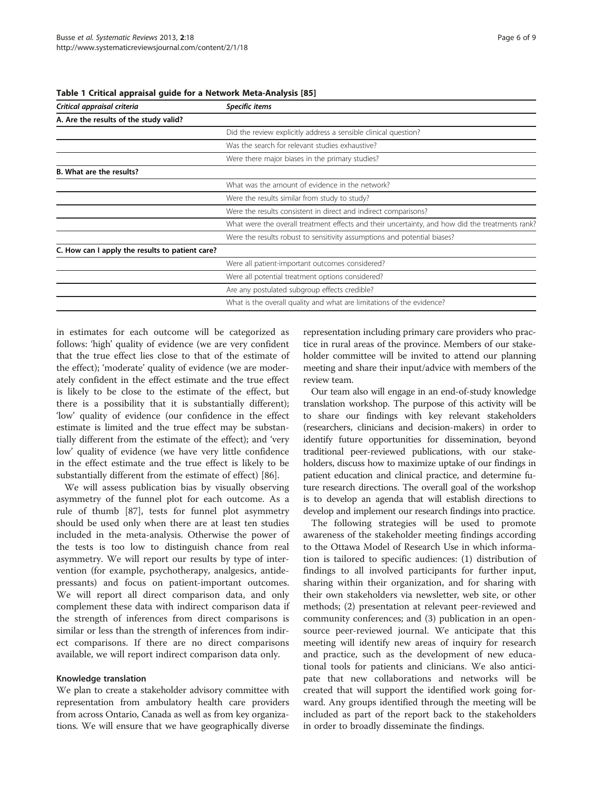| Critical appraisal criteria                     | Specific items                                                                                  |
|-------------------------------------------------|-------------------------------------------------------------------------------------------------|
| A. Are the results of the study valid?          |                                                                                                 |
|                                                 | Did the review explicitly address a sensible clinical question?                                 |
|                                                 | Was the search for relevant studies exhaustive?                                                 |
|                                                 | Were there major biases in the primary studies?                                                 |
| B. What are the results?                        |                                                                                                 |
|                                                 | What was the amount of evidence in the network?                                                 |
|                                                 | Were the results similar from study to study?                                                   |
|                                                 | Were the results consistent in direct and indirect comparisons?                                 |
|                                                 | What were the overall treatment effects and their uncertainty, and how did the treatments rank? |
|                                                 | Were the results robust to sensitivity assumptions and potential biases?                        |
| C. How can I apply the results to patient care? |                                                                                                 |
|                                                 | Were all patient-important outcomes considered?                                                 |
|                                                 | Were all potential treatment options considered?                                                |
|                                                 | Are any postulated subgroup effects credible?                                                   |
|                                                 | What is the overall quality and what are limitations of the evidence?                           |

<span id="page-5-0"></span>Table 1 Critical appraisal guide for a Network Meta-Analysis [[85\]](#page-8-0)

in estimates for each outcome will be categorized as follows: 'high' quality of evidence (we are very confident that the true effect lies close to that of the estimate of the effect); 'moderate' quality of evidence (we are moderately confident in the effect estimate and the true effect is likely to be close to the estimate of the effect, but there is a possibility that it is substantially different); 'low' quality of evidence (our confidence in the effect estimate is limited and the true effect may be substantially different from the estimate of the effect); and 'very low' quality of evidence (we have very little confidence in the effect estimate and the true effect is likely to be substantially different from the estimate of effect) [[86\]](#page-8-0).

We will assess publication bias by visually observing asymmetry of the funnel plot for each outcome. As a rule of thumb [[87\]](#page-8-0), tests for funnel plot asymmetry should be used only when there are at least ten studies included in the meta-analysis. Otherwise the power of the tests is too low to distinguish chance from real asymmetry. We will report our results by type of intervention (for example, psychotherapy, analgesics, antidepressants) and focus on patient-important outcomes. We will report all direct comparison data, and only complement these data with indirect comparison data if the strength of inferences from direct comparisons is similar or less than the strength of inferences from indirect comparisons. If there are no direct comparisons available, we will report indirect comparison data only.

#### Knowledge translation

We plan to create a stakeholder advisory committee with representation from ambulatory health care providers from across Ontario, Canada as well as from key organizations. We will ensure that we have geographically diverse

representation including primary care providers who practice in rural areas of the province. Members of our stakeholder committee will be invited to attend our planning meeting and share their input/advice with members of the review team.

Our team also will engage in an end-of-study knowledge translation workshop. The purpose of this activity will be to share our findings with key relevant stakeholders (researchers, clinicians and decision-makers) in order to identify future opportunities for dissemination, beyond traditional peer-reviewed publications, with our stakeholders, discuss how to maximize uptake of our findings in patient education and clinical practice, and determine future research directions. The overall goal of the workshop is to develop an agenda that will establish directions to develop and implement our research findings into practice.

The following strategies will be used to promote awareness of the stakeholder meeting findings according to the Ottawa Model of Research Use in which information is tailored to specific audiences: (1) distribution of findings to all involved participants for further input, sharing within their organization, and for sharing with their own stakeholders via newsletter, web site, or other methods; (2) presentation at relevant peer-reviewed and community conferences; and (3) publication in an opensource peer-reviewed journal. We anticipate that this meeting will identify new areas of inquiry for research and practice, such as the development of new educational tools for patients and clinicians. We also anticipate that new collaborations and networks will be created that will support the identified work going forward. Any groups identified through the meeting will be included as part of the report back to the stakeholders in order to broadly disseminate the findings.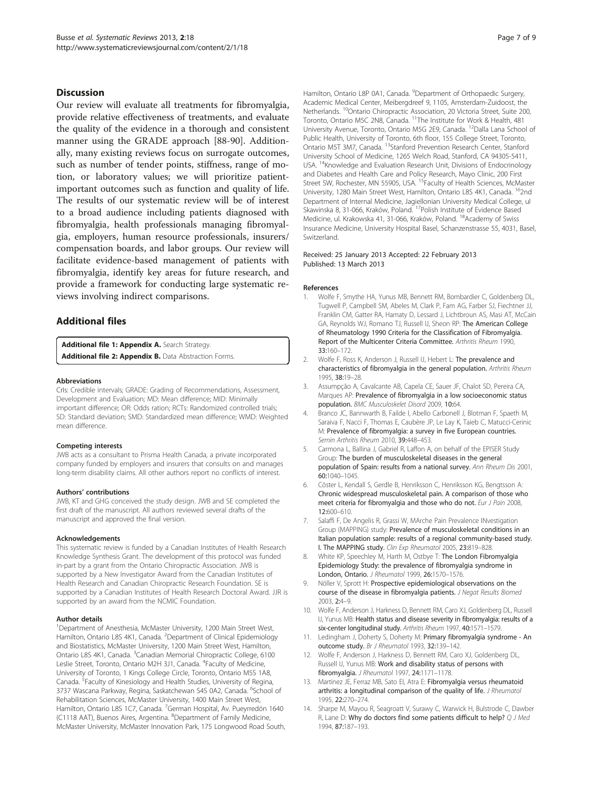#### <span id="page-6-0"></span>**Discussion**

Our review will evaluate all treatments for fibromyalgia, provide relative effectiveness of treatments, and evaluate the quality of the evidence in a thorough and consistent manner using the GRADE approach [\[88-90](#page-8-0)]. Additionally, many existing reviews focus on surrogate outcomes, such as number of tender points, stiffness, range of motion, or laboratory values; we will prioritize patientimportant outcomes such as function and quality of life. The results of our systematic review will be of interest to a broad audience including patients diagnosed with fibromyalgia, health professionals managing fibromyalgia, employers, human resource professionals, insurers/ compensation boards, and labor groups. Our review will facilitate evidence-based management of patients with fibromyalgia, identify key areas for future research, and provide a framework for conducting large systematic reviews involving indirect comparisons.

## Additional files

[Additional file 1: Appendix A.](http://www.biomedcentral.com/content/supplementary/2046-4053-2-18-S1.doc) Search Strategy. [Additional file 2: Appendix B.](http://www.biomedcentral.com/content/supplementary/2046-4053-2-18-S2.doc) Data Abstraction Forms.

#### Abbreviations

CrIs: Credible intervals; GRADE: Grading of Recommendations, Assessment, Development and Evaluation; MD: Mean difference; MID: Minimally important difference; OR: Odds ration; RCTs: Randomized controlled trials; SD: Standard deviation; SMD: Standardized mean difference; WMD: Weighted mean difference.

#### Competing interests

JWB acts as a consultant to Prisma Health Canada, a private incorporated company funded by employers and insurers that consults on and manages long-term disability claims. All other authors report no conflicts of interest.

#### Authors' contributions

JWB, KT and GHG conceived the study design. JWB and SE completed the first draft of the manuscript. All authors reviewed several drafts of the manuscript and approved the final version.

#### Acknowledgements

This systematic review is funded by a Canadian Institutes of Health Research Knowledge Synthesis Grant. The development of this protocol was funded in-part by a grant from the Ontario Chiropractic Association. JWB is supported by a New Investigator Award from the Canadian Institutes of Health Research and Canadian Chiropractic Research Foundation. SE is supported by a Canadian Institutes of Health Research Doctoral Award. JJR is supported by an award from the NCMIC Foundation.

#### Author details

<sup>1</sup>Department of Anesthesia, McMaster University, 1200 Main Street West, Hamilton, Ontario L8S 4K1, Canada. <sup>2</sup>Department of Clinical Epidemiology and Biostatistics, McMaster University, 1200 Main Street West, Hamilton, Ontario L8S 4K1, Canada. <sup>3</sup>Canadian Memorial Chiropractic College, 6100 Leslie Street, Toronto, Ontario M2H 3J1, Canada. <sup>4</sup>Faculty of Medicine, University of Toronto, 1 Kings College Circle, Toronto, Ontario M5S 1A8, Canada. <sup>5</sup>Faculty of Kinesiology and Health Studies, University of Regina, 3737 Wascana Parkway, Regina, Saskatchewan S4S 0A2, Canada. <sup>6</sup>School of Rehabilitation Sciences, McMaster University, 1400 Main Street West, Hamilton, Ontario L8S 1C7, Canada. <sup>7</sup>German Hospital, Av. Pueyrredón 1640 (C1118 AAT), Buenos Aires, Argentina. <sup>8</sup>Department of Family Medicine, McMaster University, McMaster Innovation Park, 175 Longwood Road South,

Hamilton, Ontario L8P 0A1, Canada. <sup>9</sup> Department of Orthopaedic Surgery, Academic Medical Center, Meibergdreef 9, 1105, Amsterdam-Zuidoost, the Netherlands. <sup>10</sup>Ontario Chiropractic Association, 20 Victoria Street, Suite 200, Toronto, Ontario M5C 2N8, Canada. <sup>11</sup>The Institute for Work & Health, 481 University Avenue, Toronto, Ontario M5G 2E9, Canada. 12Dalla Lana School of Public Health, University of Toronto, 6th floor, 155 College Street, Toronto, Ontario M5T 3M7, Canada. 13Stanford Prevention Research Center, Stanford University School of Medicine, 1265 Welch Road, Stanford, CA 94305-5411, USA. 14Knowledge and Evaluation Research Unit, Divisions of Endocrinology and Diabetes and Health Care and Policy Research, Mayo Clinic, 200 First Street SW, Rochester, MN 55905, USA. <sup>15</sup>Faculty of Health Sciences, McMaster University, 1280 Main Street West, Hamilton, Ontario L8S 4K1, Canada. 162nd Department of Internal Medicine, Jagiellonian University Medical College, ul Skawinska 8, 31-066, Kraków, Poland. 17Polish Institute of Evidence Based Medicine, ul. Krakowska 41, 31-066, Kraków, Poland. <sup>18</sup>Academy of Swiss Insurance Medicine, University Hospital Basel, Schanzenstrasse 55, 4031, Basel, Switzerland.

#### Received: 25 January 2013 Accepted: 22 February 2013 Published: 13 March 2013

#### References

- 1. Wolfe F, Smythe HA, Yunus MB, Bennett RM, Bombardier C, Goldenberg DL, Tugwell P, Campbell SM, Abeles M, Clark P, Fam AG, Farber SJ, Fiechtner JJ, Franklin CM, Gatter RA, Hamaty D, Lessard J, Lichtbroun AS, Masi AT, McCain GA, Reynolds WJ, Romano TJ, Russell IJ, Sheon RP: The American College of Rheumatology 1990 Criteria for the Classification of Fibromyalgia. Report of the Multicenter Criteria Committee. Arthritis Rheum 1990, 33:160–172.
- 2. Wolfe F, Ross K, Anderson J, Russell IJ, Hebert L: The prevalence and characteristics of fibromyalgia in the general population. Arthritis Rheum 1995, 38:19–28.
- 3. Assumpção A, Cavalcante AB, Capela CE, Sauer JF, Chalot SD, Pereira CA, Marques AP: Prevalence of fibromyalgia in a low socioeconomic status population. BMC Musculoskelet Disord 2009, 10:64.
- 4. Branco JC, Bannwarth B, Failde I, Abello Carbonell J, Blotman F, Spaeth M, Saraiva F, Nacci F, Thomas E, Caubère JP, Le Lay K, Taieb C, Matucci-Cerinic M: Prevalence of fibromyalgia: a survey in five European countries. Semin Arthritis Rheum 2010, 39:448–453.
- 5. Carmona L, Ballina J, Gabriel R, Laffon A, on behalf of the EPISER Study Group: The burden of musculoskeletal diseases in the general population of Spain: results from a national survey. Ann Rheum Dis 2001, 60:1040–1045.
- 6. Cöster L, Kendall S, Gerdle B, Henriksson C, Henriksson KG, Bengtsson A: Chronic widespread musculoskeletal pain. A comparison of those who meet criteria for fibromyalgia and those who do not. Eur J Pain 2008, 12:600–610.
- Salaffi F, De Angelis R, Grassi W, MArche Pain Prevalence INvestigation Group (MAPPING) study: Prevalence of musculoskeletal conditions in an Italian population sample: results of a regional community-based study. I. The MAPPING study. Clin Exp Rheumatol 2005, 23:819-828.
- 8. White KP, Speechley M, Harth M, Ostbye T: The London Fibromyalgia Epidemiology Study: the prevalence of fibromyalgia syndrome in London, Ontario. J Rheumatol 1999, 26:1570–1576.
- Nöller V, Sprott H: Prospective epidemiological observations on the course of the disease in fibromyalgia patients. J Negat Results Biomed 2003, 2:4–9.
- 10. Wolfe F, Anderson J, Harkness D, Bennett RM, Caro XJ, Goldenberg DL, Russell IJ, Yunus MB: Health status and disease severity in fibromyalgia: results of a six-center longitudinal study. Arthritis Rheum 1997, 40:1571–1579.
- 11. Ledingham J, Doherty S, Doherty M: Primary fibromyalgia syndrome An outcome study. Br J Rheumatol 1993, 32:139–142.
- 12. Wolfe F, Anderson J, Harkness D, Bennett RM, Caro XJ, Goldenberg DL, Russell IJ, Yunus MB: Work and disability status of persons with fibromyalgia. J Rheumatol 1997, 24:1171–1178.
- 13. Martinez JE, Ferraz MB, Sato EI, Atra E: Fibromyalgia versus rheumatoid arthritis: a longitudinal comparison of the quality of life. J Rheumatol 1995, 22:270–274.
- 14. Sharpe M, Mayou R, Seagroatt V, Surawy C, Warwick H, Bulstrode C, Dawber R, Lane D: Why do doctors find some patients difficult to help? Q J Med 1994, 87:187–193.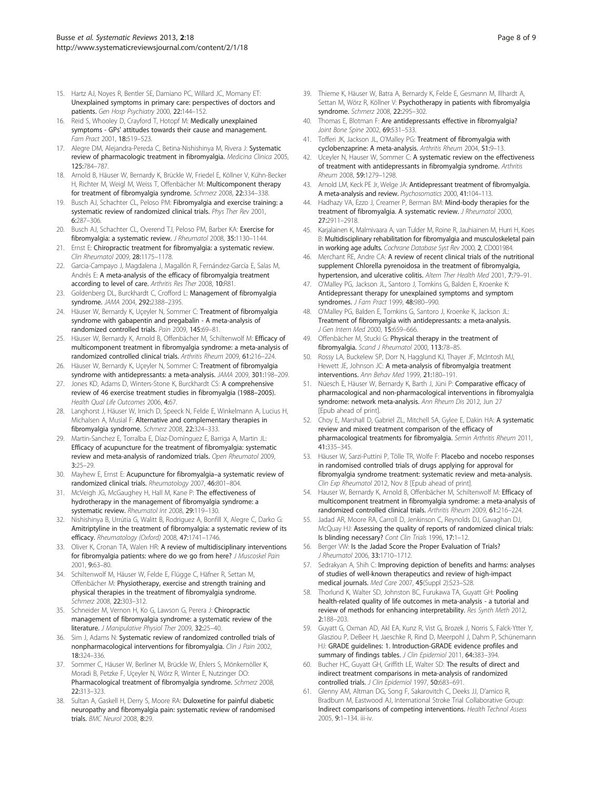- <span id="page-7-0"></span>15. Hartz AJ, Noyes R, Bentler SE, Damiano PC, Willard JC, Momany ET: Unexplained symptoms in primary care: perspectives of doctors and patients. Gen Hosp Psychiatry 2000, 22:144-152.
- 16. Reid S, Whooley D, Crayford T, Hotopf M: Medically unexplained symptoms - GPs' attitudes towards their cause and management. Fam Pract 2001, 18:519–523.
- 17. Alegre DM, Alejandra-Pereda C, Betina-Nishishinya M, Rivera J: Systematic review of pharmacologic treatment in fibromyalgia. Medicina Clinica 2005, 125:784–787.
- 18. Arnold B, Häuser W, Bernardy K, Brückle W, Friedel E, Köllner V, Kühn-Becker H, Richter M, Weigl M, Weiss T, Offenbächer M: Multicomponent therapy for treatment of fibromyalgia syndrome. Schmerz 2008, 22:334–338.
- 19. Busch AJ, Schachter CL, Peloso PM: Fibromyalgia and exercise training: a systematic review of randomized clinical trials. Phys Ther Rev 2001, 6:287–306.
- 20. Busch AJ, Schachter CL, Overend TJ, Peloso PM, Barber KA: Exercise for fibromyalgia: a systematic review. J Rheumatol 2008, 35:1130–1144.
- 21. Ernst E: Chiropractic treatment for fibromyalgia: a systematic review. Clin Rheumatol 2009, 28:1175–1178.
- 22. Garcia-Campayo J, Magdalena J, Magallón R, Fernández-García E, Salas M, Andrés E: A meta-analysis of the efficacy of fibromyalgia treatment according to level of care. Arthritis Res Ther 2008, 10:R81.
- 23. Goldenberg DL, Burckhardt C, Crofford L: Management of fibromyalgia syndrome. JAMA 2004, 292:2388–2395.
- 24. Häuser W, Bernardy K, Uçeyler N, Sommer C: Treatment of fibromyalgia syndrome with gabapentin and pregabalin - A meta-analysis of randomized controlled trials. Pain 2009, 145:69–81.
- 25. Häuser W, Bernardy K, Arnold B, Offenbächer M, Schiltenwolf M: Efficacy of multicomponent treatment in fibromyalgia syndrome: a meta-analysis of randomized controlled clinical trials. Arthritis Rheum 2009, 61:216–224.
- 26. Häuser W, Bernardy K, Uçeyler N, Sommer C: Treatment of fibromyalgia syndrome with antidepressants: a meta-analysis. JAMA 2009, 301:198–209.
- 27. Jones KD, Adams D, Winters-Stone K, Burckhardt CS: A comprehensive review of 46 exercise treatment studies in fibromyalgia (1988–2005). Health Qual Life Outcomes 2006, 4:67.
- 28. Langhorst J, Häuser W, Irnich D, Speeck N, Felde E, Winkelmann A, Lucius H, Michalsen A, Musial F: Alternative and complementary therapies in fibromyalgia syndrome. Schmerz 2008, 22:324–333.
- 29. Martin-Sanchez E, Torralba E, Díaz-Domínguez E, Barriga A, Martin JL: Efficacy of acupuncture for the treatment of fibromyalgia: systematic review and meta-analysis of randomized trials. Open Rheumatol 2009, 3:25–29.
- 30. Mayhew E, Ernst E: Acupuncture for fibromyalgia–a systematic review of randomized clinical trials. Rheumatology 2007, 46:801–804.
- 31. McVeigh JG, McGaughey H, Hall M, Kane P: The effectiveness of hydrotherapy in the management of fibromyalgia syndrome: a systematic review. Rheumatol Int 2008, 29:119–130.
- 32. Nishishinya B, Urrútia G, Walitt B, Rodriguez A, Bonfill X, Alegre C, Darko G: Amitriptyline in the treatment of fibromyalgia: a systematic review of its efficacy. Rheumatology (Oxford) 2008, 47:1741–1746.
- 33. Oliver K, Cronan TA, Walen HR: A review of multidisciplinary interventions for fibromyalgia patients: where do we go from here? J Muscoskel Pain 2001, 9:63–80.
- 34. Schiltenwolf M, Häuser W, Felde E, Flügge C, Häfner R, Settan M, Offenbächer M: Physiotherapy, exercise and strength training and physical therapies in the treatment of fibromyalgia syndrome. Schmerz 2008, 22:303–312.
- 35. Schneider M, Vernon H, Ko G, Lawson G, Perera J: Chiropractic management of fibromyalgia syndrome: a systematic review of the literature. J Manipulative Physiol Ther 2009, 32:25–40.
- 36. Sim J, Adams N: Systematic review of randomized controlled trials of nonpharmacological interventions for fibromyalgia. Clin J Pain 2002, 18:324–336.
- 37. Sommer C, Häuser W, Berliner M, Brückle W, Ehlers S, Mönkemöller K, Moradi B, Petzke F, Uçeyler N, Wörz R, Winter E, Nutzinger DO: Pharmacological treatment of fibromyalgia syndrome. Schmerz 2008, 22:313–323.
- 38. Sultan A, Gaskell H, Derry S, Moore RA: Duloxetine for painful diabetic neuropathy and fibromyalgia pain: systematic review of randomised trials. BMC Neurol 2008, 8:29.
- 39. Thieme K, Häuser W, Batra A, Bernardy K, Felde E, Gesmann M, Illhardt A, Settan M, Wörz R, Köllner V: Psychotherapy in patients with fibromyalgia syndrome. Schmerz 2008, 22:295–302.
- 40. Thomas E, Blotman F: Are antidepressants effective in fibromyalgia? Joint Bone Spine 2002, 69:531–533.
- 41. Tofferi JK, Jackson JL, O'Malley PG: Treatment of fibromyalgia with cyclobenzaprine: A meta-analysis. Arthritis Rheum 2004, 51:9–13.
- 42. Uceyler N, Hauser W, Sommer C: A systematic review on the effectiveness of treatment with antidepressants in fibromyalgia syndrome. Arthritis Rheum 2008, 59:1279–1298.
- 43. Arnold LM, Keck PE Jr, Welge JA: Antidepressant treatment of fibromyalgia. A meta-analysis and review. Psychosomatics 2000, 41:104–113.
- 44. Hadhazy VA, Ezzo J, Creamer P, Berman BM: Mind-body therapies for the treatment of fibromyalgia. A systematic review. J Rheumatol 2000, 27:2911–2918.
- 45. Karjalainen K, Malmivaara A, van Tulder M, Roine R, Jauhiainen M, Hurri H, Koes B: Multidisciplinary rehabilitation for fibromyalgia and musculoskeletal pain in working age adults. Cochrane Database Syst Rev 2000, 2, CD001984.
- 46. Merchant RE, Andre CA: A review of recent clinical trials of the nutritional supplement Chlorella pyrenoidosa in the treatment of fibromyalgia, hypertension, and ulcerative colitis. Altern Ther Health Med 2001, 7:79–91.
- 47. O'Malley PG, Jackson JL, Santoro J, Tomkins G, Balden E, Kroenke K: Antidepressant therapy for unexplained symptoms and symptom syndromes. J Fam Pract 1999, 48:980–990.
- 48. O'Malley PG, Balden E, Tomkins G, Santoro J, Kroenke K, Jackson JL: Treatment of fibromyalgia with antidepressants: a meta-analysis. J Gen Intern Med 2000, 15:659–666.
- 49. Offenbächer M, Stucki G: Physical therapy in the treatment of fibromyalgia. Scand J Rheumatol 2000, 113:78–85.
- 50. Rossy LA, Buckelew SP, Dorr N, Hagglund KJ, Thayer JF, McIntosh MJ, Hewett JE, Johnson JC: A meta-analysis of fibromyalgia treatment interventions. Ann Behav Med 1999, 21:180–191.
- 51. Nüesch E, Häuser W, Bernardy K, Barth J, Jüni P: Comparative efficacy of pharmacological and non-pharmacological interventions in fibromyalgia syndrome: network meta-analysis. Ann Rheum Dis 2012, Jun 27 [Epub ahead of print].
- 52. Choy E, Marshall D, Gabriel ZL, Mitchell SA, Gylee E, Dakin HA: A systematic review and mixed treatment comparison of the efficacy of pharmacological treatments for fibromyalgia. Semin Arthritis Rheum 2011, 41:335–345.
- 53. Häuser W, Sarzi-Puttini P, Tölle TR, Wolfe F: Placebo and nocebo responses in randomised controlled trials of drugs applying for approval for fibromyalgia syndrome treatment: systematic review and meta-analysis. Clin Exp Rheumatol 2012, Nov 8 [Epub ahead of print].
- 54. Hauser W, Bernardy K, Arnold B, Offenbächer M, Schiltenwolf M: Efficacy of multicomponent treatment in fibromyalgia syndrome: a meta-analysis of randomized controlled clinical trials. Arthritis Rheum 2009, 61:216–224.
- 55. Jadad AR, Moore RA, Carroll D, Jenkinson C, Reynolds DJ, Gavaghan DJ, McQuay HJ: Assessing the quality of reports of randomized clinical trials: Is blinding necessary? Cont Clin Trials 1996, 17:1–12.
- 56. Berger VW: Is the Jadad Score the Proper Evaluation of Trials? J Rheumatol 2006, 33:1710–1712.
- 57. Sedrakyan A, Shih C: Improving depiction of benefits and harms: analyses of studies of well-known therapeutics and review of high-impact medical journals. Med Care 2007, 45(Suppl 2):S23–S28.
- 58. Thorlund K, Walter SD, Johnston BC, Furukawa TA, Guyatt GH: Pooling health-related quality of life outcomes in meta-analysis - a tutorial and review of methods for enhancing interpretability. Res Synth Meth 2012, 2:188–203.
- 59. Guyatt G, Oxman AD, Akl EA, Kunz R, Vist G, Brozek J, Norris S, Falck-Ytter Y, Glasziou P, DeBeer H, Jaeschke R, Rind D, Meerpohl J, Dahm P, Schünemann HJ: GRADE guidelines: 1. Introduction-GRADE evidence profiles and summary of findings tables. J Clin Epidemiol 2011, 64:383-394.
- 60. Bucher HC, Guyatt GH, Griffith LE, Walter SD: The results of direct and indirect treatment comparisons in meta-analysis of randomized controlled trials. J Clin Epidemiol 1997, 50:683-691.
- 61. Glenny AM, Altman DG, Song F, Sakarovitch C, Deeks JJ, D'amico R, Bradburn M, Eastwood AJ, International Stroke Trial Collaborative Group: Indirect comparisons of competing interventions. Health Technol Assess 2005, 9:1–134. iii-iv.